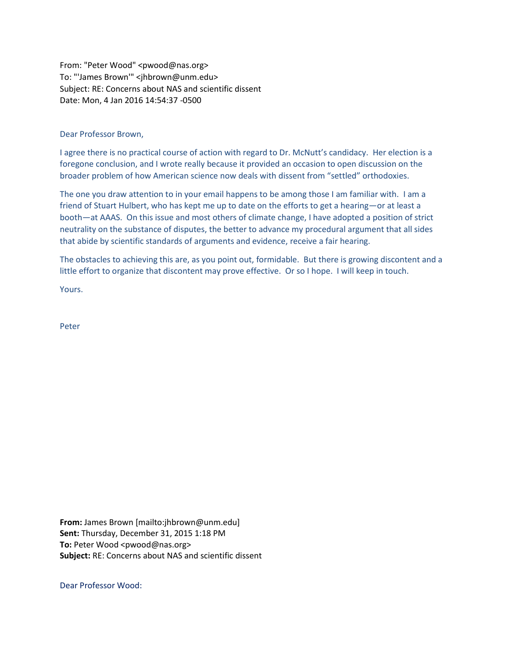From: "Peter Wood" <pwood@nas.org> To: "'James Brown'" <jhbrown@unm.edu> Subject: RE: Concerns about NAS and scientific dissent Date: Mon, 4 Jan 2016 14:54:37 -0500

Dear Professor Brown,

I agree there is no practical course of action with regard to Dr. McNutt's candidacy. Her election is a foregone conclusion, and I wrote really because it provided an occasion to open discussion on the broader problem of how American science now deals with dissent from "settled" orthodoxies.

The one you draw attention to in your email happens to be among those I am familiar with. I am a friend of Stuart Hulbert, who has kept me up to date on the efforts to get a hearing—or at least a booth—at AAAS. On this issue and most others of climate change, I have adopted a position of strict neutrality on the substance of disputes, the better to advance my procedural argument that all sides that abide by scientific standards of arguments and evidence, receive a fair hearing.

The obstacles to achieving this are, as you point out, formidable. But there is growing discontent and a little effort to organize that discontent may prove effective. Or so I hope. I will keep in touch.

Yours.

Peter

**From:** James Brown [mailto:jhbrown@unm.edu] **Sent:** Thursday, December 31, 2015 1:18 PM **To:** Peter Wood <pwood@nas.org> **Subject:** RE: Concerns about NAS and scientific dissent

Dear Professor Wood: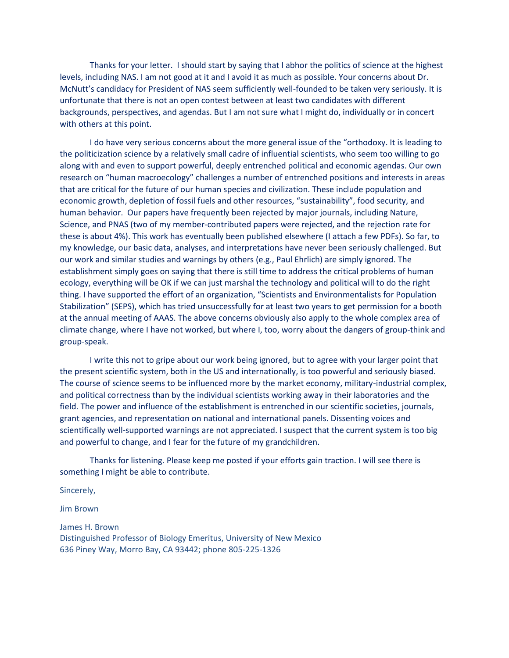Thanks for your letter. I should start by saying that I abhor the politics of science at the highest levels, including NAS. I am not good at it and I avoid it as much as possible. Your concerns about Dr. McNutt's candidacy for President of NAS seem sufficiently well-founded to be taken very seriously. It is unfortunate that there is not an open contest between at least two candidates with different backgrounds, perspectives, and agendas. But I am not sure what I might do, individually or in concert with others at this point.

I do have very serious concerns about the more general issue of the "orthodoxy. It is leading to the politicization science by a relatively small cadre of influential scientists, who seem too willing to go along with and even to support powerful, deeply entrenched political and economic agendas. Our own research on "human macroecology" challenges a number of entrenched positions and interests in areas that are critical for the future of our human species and civilization. These include population and economic growth, depletion of fossil fuels and other resources, "sustainability", food security, and human behavior. Our papers have frequently been rejected by major journals, including Nature, Science, and PNAS (two of my member-contributed papers were rejected, and the rejection rate for these is about 4%). This work has eventually been published elsewhere (I attach a few PDFs). So far, to my knowledge, our basic data, analyses, and interpretations have never been seriously challenged. But our work and similar studies and warnings by others (e.g., Paul Ehrlich) are simply ignored. The establishment simply goes on saying that there is still time to address the critical problems of human ecology, everything will be OK if we can just marshal the technology and political will to do the right thing. I have supported the effort of an organization, "Scientists and Environmentalists for Population Stabilization" (SEPS), which has tried unsuccessfully for at least two years to get permission for a booth at the annual meeting of AAAS. The above concerns obviously also apply to the whole complex area of climate change, where I have not worked, but where I, too, worry about the dangers of group-think and group-speak.

I write this not to gripe about our work being ignored, but to agree with your larger point that the present scientific system, both in the US and internationally, is too powerful and seriously biased. The course of science seems to be influenced more by the market economy, military-industrial complex, and political correctness than by the individual scientists working away in their laboratories and the field. The power and influence of the establishment is entrenched in our scientific societies, journals, grant agencies, and representation on national and international panels. Dissenting voices and scientifically well-supported warnings are not appreciated. I suspect that the current system is too big and powerful to change, and I fear for the future of my grandchildren.

Thanks for listening. Please keep me posted if your efforts gain traction. I will see there is something I might be able to contribute.

Sincerely,

Jim Brown

James H. Brown Distinguished Professor of Biology Emeritus, University of New Mexico 636 Piney Way, Morro Bay, CA 93442; phone 805-225-1326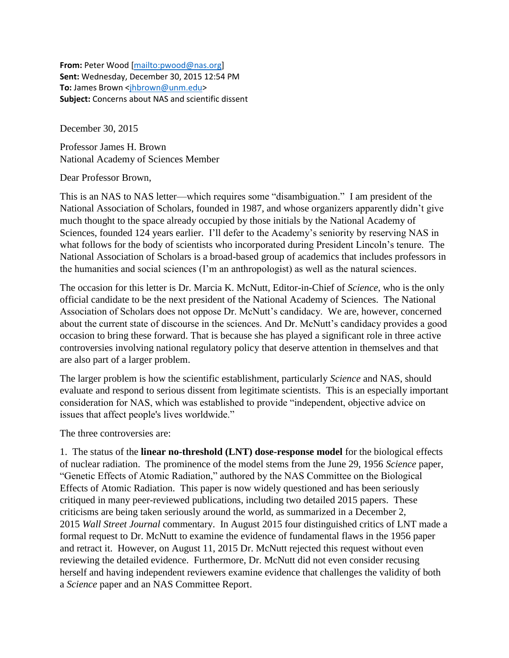**From:** Peter Wood [\[mailto:pwood@nas.org\]](mailto:pwood@nas.org) **Sent:** Wednesday, December 30, 2015 12:54 PM **To:** James Brown [<jhbrown@unm.edu>](mailto:jhbrown@unm.edu) **Subject:** Concerns about NAS and scientific dissent

December 30, 2015

Professor James H. Brown National Academy of Sciences Member

Dear Professor Brown,

This is an NAS to NAS letter—which requires some "disambiguation." I am president of the National Association of Scholars, founded in 1987, and whose organizers apparently didn't give much thought to the space already occupied by those initials by the National Academy of Sciences, founded 124 years earlier. I'll defer to the Academy's seniority by reserving NAS in what follows for the body of scientists who incorporated during President Lincoln's tenure. The National Association of Scholars is a broad-based group of academics that includes professors in the humanities and social sciences (I'm an anthropologist) as well as the natural sciences.

The occasion for this letter is Dr. Marcia K. McNutt, Editor-in-Chief of *Science*, who is the only official candidate to be the next president of the National Academy of Sciences. The National Association of Scholars does not oppose Dr. McNutt's candidacy. We are, however, concerned about the current state of discourse in the sciences. And Dr. McNutt's candidacy provides a good occasion to bring these forward. That is because she has played a significant role in three active controversies involving national regulatory policy that deserve attention in themselves and that are also part of a larger problem.

The larger problem is how the scientific establishment, particularly *Science* and NAS, should evaluate and respond to serious dissent from legitimate scientists. This is an especially important consideration for NAS, which was established to provide "independent, objective advice on issues that affect people's lives worldwide."

The three controversies are:

1. The status of the **linear no-threshold (LNT) dose-response model** for the biological effects of nuclear radiation. The prominence of the model stems from the June 29, 1956 *Science* paper, "Genetic Effects of Atomic Radiation," authored by the NAS Committee on the Biological Effects of Atomic Radiation. This paper is now widely questioned and has been seriously critiqued in many peer-reviewed publications, including two detailed 2015 papers. These criticisms are being taken seriously around the world, as summarized in a December 2, 2015 *Wall Street Journal* commentary. In August 2015 four distinguished critics of LNT made a formal request to Dr. McNutt to examine the evidence of fundamental flaws in the 1956 paper and retract it. However, on August 11, 2015 Dr. McNutt rejected this request without even reviewing the detailed evidence. Furthermore, Dr. McNutt did not even consider recusing herself and having independent reviewers examine evidence that challenges the validity of both a *Science* paper and an NAS Committee Report.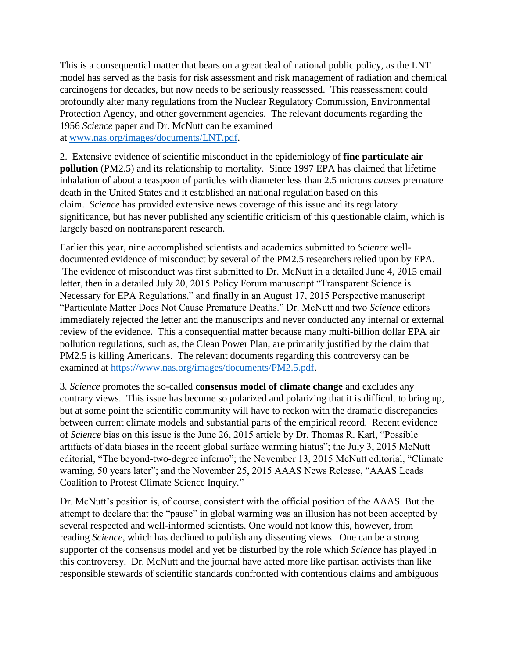This is a consequential matter that bears on a great deal of national public policy, as the LNT model has served as the basis for risk assessment and risk management of radiation and chemical carcinogens for decades, but now needs to be seriously reassessed. This reassessment could profoundly alter many regulations from the Nuclear Regulatory Commission, Environmental Protection Agency, and other government agencies. The relevant documents regarding the 1956 *Science* paper and Dr. McNutt can be examined at [www.nas.org/images/documents/LNT.pdf.](http://www.nas.org/images/documents/LNT.pdf)

2. Extensive evidence of scientific misconduct in the epidemiology of **fine particulate air pollution** (PM2.5) and its relationship to mortality. Since 1997 EPA has claimed that lifetime inhalation of about a teaspoon of particles with diameter less than 2.5 microns *causes* premature death in the United States and it established an national regulation based on this claim. *Science* has provided extensive news coverage of this issue and its regulatory significance, but has never published any scientific criticism of this questionable claim, which is largely based on nontransparent research.

Earlier this year, nine accomplished scientists and academics submitted to *Science* welldocumented evidence of misconduct by several of the PM2.5 researchers relied upon by EPA. The evidence of misconduct was first submitted to Dr. McNutt in a detailed June 4, 2015 email letter, then in a detailed July 20, 2015 Policy Forum manuscript "Transparent Science is Necessary for EPA Regulations," and finally in an August 17, 2015 Perspective manuscript "Particulate Matter Does Not Cause Premature Deaths." Dr. McNutt and two *Science* editors immediately rejected the letter and the manuscripts and never conducted any internal or external review of the evidence. This a consequential matter because many multi-billion dollar EPA air pollution regulations, such as, the Clean Power Plan, are primarily justified by the claim that PM2.5 is killing Americans. The relevant documents regarding this controversy can be examined at [https://www.nas.org/images/documents/PM2.5.pdf.](https://www.nas.org/images/documents/PM2.5.pdf)

3*. Science* promotes the so-called **consensus model of climate change** and excludes any contrary views. This issue has become so polarized and polarizing that it is difficult to bring up, but at some point the scientific community will have to reckon with the dramatic discrepancies between current climate models and substantial parts of the empirical record. Recent evidence of *Science* bias on this issue is the June 26, 2015 article by Dr. Thomas R. Karl, "Possible artifacts of data biases in the recent global surface warming hiatus"; the July 3, 2015 McNutt editorial, "The beyond-two-degree inferno"; the November 13, 2015 McNutt editorial, "Climate warning, 50 years later"; and the November 25, 2015 AAAS News Release, "AAAS Leads Coalition to Protest Climate Science Inquiry."

Dr. McNutt's position is, of course, consistent with the official position of the AAAS. But the attempt to declare that the "pause" in global warming was an illusion has not been accepted by several respected and well-informed scientists. One would not know this, however, from reading *Science*, which has declined to publish any dissenting views. One can be a strong supporter of the consensus model and yet be disturbed by the role which *Science* has played in this controversy. Dr. McNutt and the journal have acted more like partisan activists than like responsible stewards of scientific standards confronted with contentious claims and ambiguous